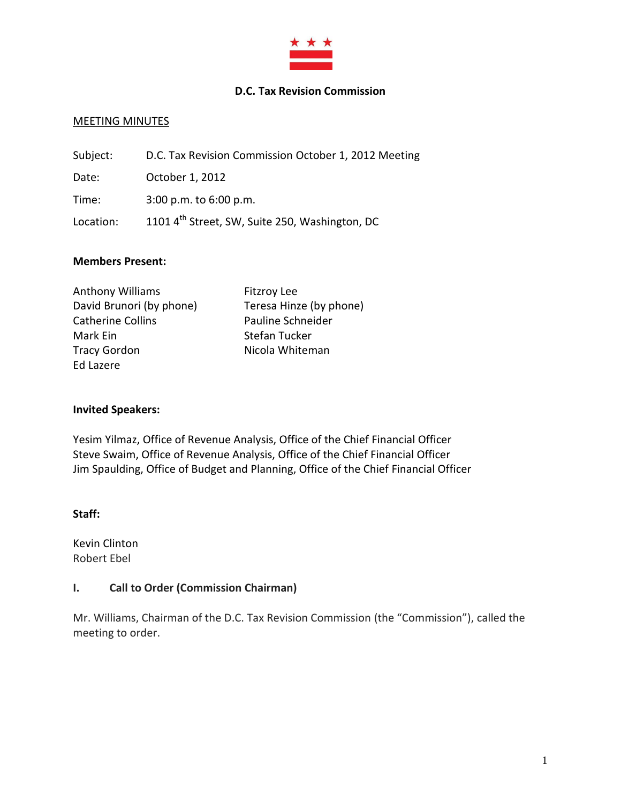

### **D.C. Tax Revision Commission**

### MEETING MINUTES

| Subject:  | D.C. Tax Revision Commission October 1, 2012 Meeting       |
|-----------|------------------------------------------------------------|
| Date:     | October 1, 2012                                            |
| Time:     | $3:00$ p.m. to $6:00$ p.m.                                 |
| Location: | 1101 4 <sup>th</sup> Street, SW, Suite 250, Washington, DC |

#### **Members Present:**

| <b>Anthony Williams</b>  | <b>Fitzroy Lee</b>      |
|--------------------------|-------------------------|
| David Brunori (by phone) | Teresa Hinze (by phone) |
| <b>Catherine Collins</b> | Pauline Schneider       |
| Mark Ein                 | Stefan Tucker           |
| <b>Tracy Gordon</b>      | Nicola Whiteman         |
| Ed Lazere                |                         |

#### **Invited Speakers:**

Yesim Yilmaz, Office of Revenue Analysis, Office of the Chief Financial Officer Steve Swaim, Office of Revenue Analysis, Office of the Chief Financial Officer Jim Spaulding, Office of Budget and Planning, Office of the Chief Financial Officer

#### **Staff:**

Kevin Clinton Robert Ebel

#### **I. Call to Order (Commission Chairman)**

Mr. Williams, Chairman of the D.C. Tax Revision Commission (the "Commission"), called the meeting to order.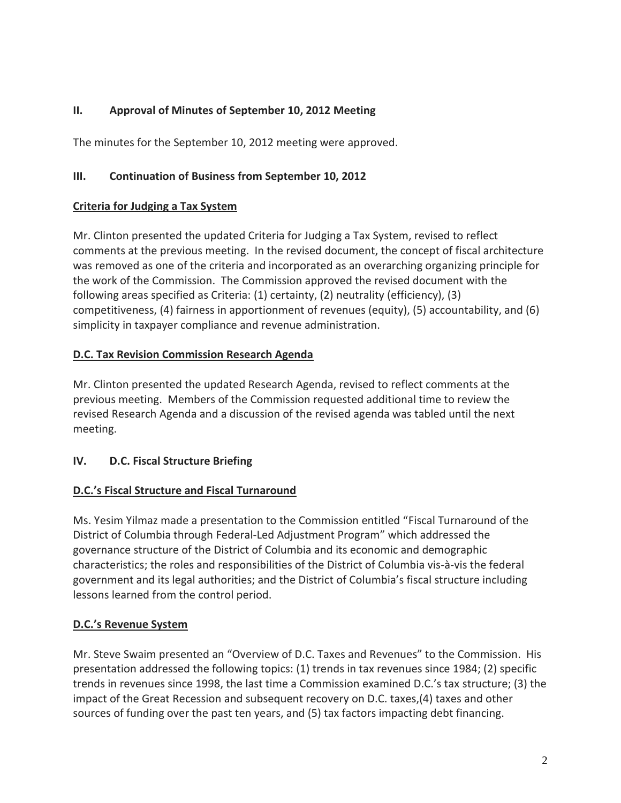## **II. Approval of Minutes of September 10, 2012 Meeting**

The minutes for the September 10, 2012 meeting were approved.

## **III. Continuation of Business from September 10, 2012**

### **Criteria for Judging a Tax System**

Mr. Clinton presented the updated Criteria for Judging a Tax System, revised to reflect comments at the previous meeting. In the revised document, the concept of fiscal architecture was removed as one of the criteria and incorporated as an overarching organizing principle for the work of the Commission. The Commission approved the revised document with the following areas specified as Criteria: (1) certainty, (2) neutrality (efficiency), (3) competitiveness, (4) fairness in apportionment of revenues (equity), (5) accountability, and (6) simplicity in taxpayer compliance and revenue administration.

## **D.C. Tax Revision Commission Research Agenda**

Mr. Clinton presented the updated Research Agenda, revised to reflect comments at the previous meeting. Members of the Commission requested additional time to review the revised Research Agenda and a discussion of the revised agenda was tabled until the next meeting.

# **IV. D.C. Fiscal Structure Briefing**

# **D.C.'s Fiscal Structure and Fiscal Turnaround**

Ms. Yesim Yilmaz made a presentation to the Commission entitled "Fiscal Turnaround of the District of Columbia through Federal‐Led Adjustment Program" which addressed the governance structure of the District of Columbia and its economic and demographic characteristics; the roles and responsibilities of the District of Columbia vis-à-vis the federal government and its legal authorities; and the District of Columbia's fiscal structure including lessons learned from the control period.

# **D.C.'s Revenue System**

Mr. Steve Swaim presented an "Overview of D.C. Taxes and Revenues" to the Commission. His presentation addressed the following topics: (1) trends in tax revenues since 1984; (2) specific trends in revenues since 1998, the last time a Commission examined D.C.'s tax structure; (3) the impact of the Great Recession and subsequent recovery on D.C. taxes,(4) taxes and other sources of funding over the past ten years, and (5) tax factors impacting debt financing.